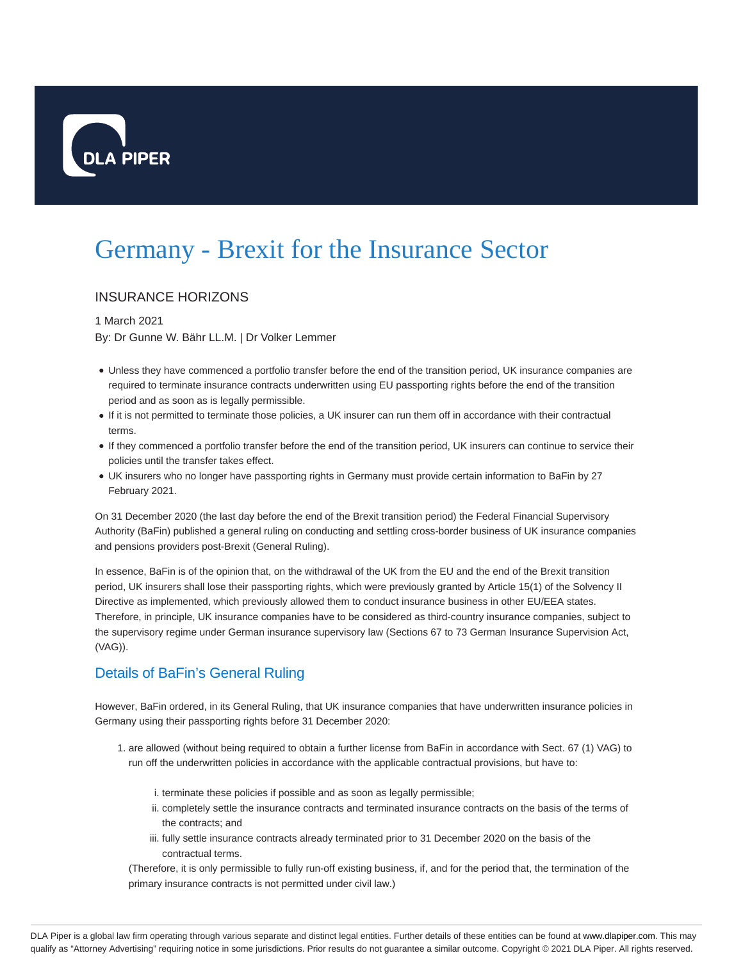

# Germany - Brexit for the Insurance Sector

## INSURANCE HORIZONS

### 1 March 2021

By: Dr Gunne W. Bähr LL.M. | Dr Volker Lemmer

- Unless they have commenced a portfolio transfer before the end of the transition period, UK insurance companies are required to terminate insurance contracts underwritten using EU passporting rights before the end of the transition period and as soon as is legally permissible.
- If it is not permitted to terminate those policies, a UK insurer can run them off in accordance with their contractual terms.
- If they commenced a portfolio transfer before the end of the transition period, UK insurers can continue to service their policies until the transfer takes effect.
- UK insurers who no longer have passporting rights in Germany must provide certain information to BaFin by 27 February 2021.

On 31 December 2020 (the last day before the end of the Brexit transition period) the Federal Financial Supervisory Authority (BaFin) published a general ruling on conducting and settling cross-border business of UK insurance companies and pensions providers post-Brexit (General Ruling).

In essence, BaFin is of the opinion that, on the withdrawal of the UK from the EU and the end of the Brexit transition period, UK insurers shall lose their passporting rights, which were previously granted by Article 15(1) of the Solvency II Directive as implemented, which previously allowed them to conduct insurance business in other EU/EEA states. Therefore, in principle, UK insurance companies have to be considered as third-country insurance companies, subject to the supervisory regime under German insurance supervisory law (Sections 67 to 73 German Insurance Supervision Act, (VAG)).

# Details of BaFin's General Ruling

However, BaFin ordered, in its General Ruling, that UK insurance companies that have underwritten insurance policies in Germany using their passporting rights before 31 December 2020:

- 1. are allowed (without being required to obtain a further license from BaFin in accordance with Sect. 67 (1) VAG) to run off the underwritten policies in accordance with the applicable contractual provisions, but have to:
	- i. terminate these policies if possible and as soon as legally permissible;
	- ii. completely settle the insurance contracts and terminated insurance contracts on the basis of the terms of the contracts; and
	- iii. fully settle insurance contracts already terminated prior to 31 December 2020 on the basis of the contractual terms.

(Therefore, it is only permissible to fully run-off existing business, if, and for the period that, the termination of the primary insurance contracts is not permitted under civil law.)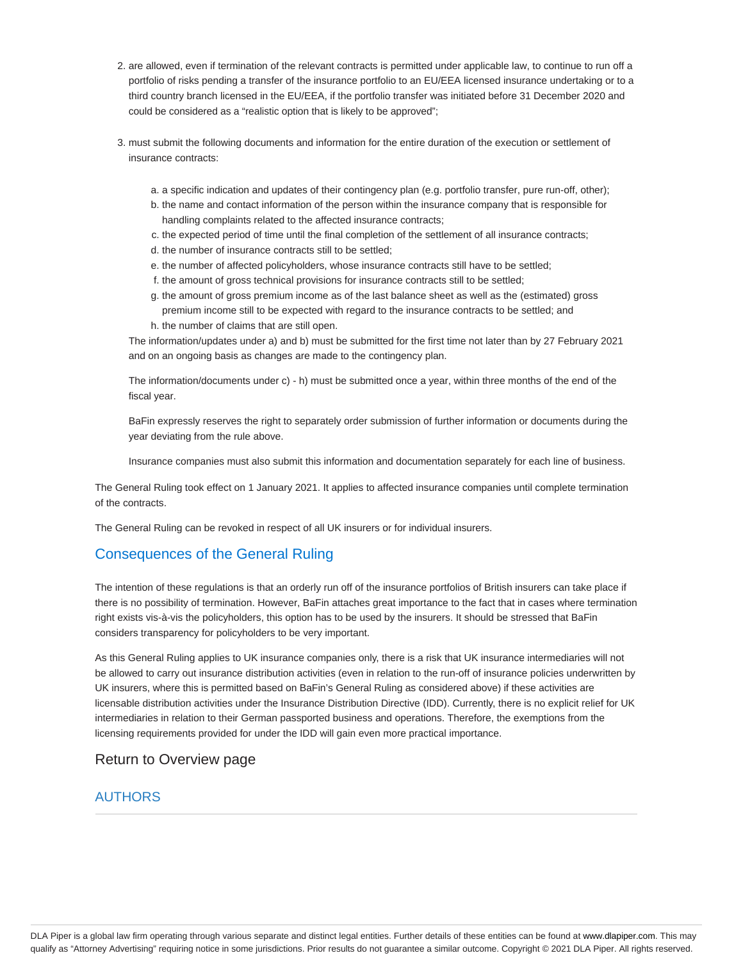- 2. are allowed, even if termination of the relevant contracts is permitted under applicable law, to continue to run off a portfolio of risks pending a transfer of the insurance portfolio to an EU/EEA licensed insurance undertaking or to a third country branch licensed in the EU/EEA, if the portfolio transfer was initiated before 31 December 2020 and could be considered as a "realistic option that is likely to be approved";
- 3. must submit the following documents and information for the entire duration of the execution or settlement of insurance contracts:
	- a. a specific indication and updates of their contingency plan (e.g. portfolio transfer, pure run-off, other);
	- b. the name and contact information of the person within the insurance company that is responsible for handling complaints related to the affected insurance contracts;
	- c. the expected period of time until the final completion of the settlement of all insurance contracts;
	- d. the number of insurance contracts still to be settled;
	- e. the number of affected policyholders, whose insurance contracts still have to be settled;
	- f. the amount of gross technical provisions for insurance contracts still to be settled;
	- g. the amount of gross premium income as of the last balance sheet as well as the (estimated) gross premium income still to be expected with regard to the insurance contracts to be settled; and
	- h. the number of claims that are still open.

The information/updates under a) and b) must be submitted for the first time not later than by 27 February 2021 and on an ongoing basis as changes are made to the contingency plan.

The information/documents under c) - h) must be submitted once a year, within three months of the end of the fiscal year.

BaFin expressly reserves the right to separately order submission of further information or documents during the year deviating from the rule above.

Insurance companies must also submit this information and documentation separately for each line of business.

The General Ruling took effect on 1 January 2021. It applies to affected insurance companies until complete termination of the contracts.

The General Ruling can be revoked in respect of all UK insurers or for individual insurers.

## Consequences of the General Ruling

The intention of these regulations is that an orderly run off of the insurance portfolios of British insurers can take place if there is no possibility of termination. However, BaFin attaches great importance to the fact that in cases where termination right exists vis-à-vis the policyholders, this option has to be used by the insurers. It should be stressed that BaFin considers transparency for policyholders to be very important.

As this General Ruling applies to UK insurance companies only, there is a risk that UK insurance intermediaries will not be allowed to carry out insurance distribution activities (even in relation to the run-off of insurance policies underwritten by UK insurers, where this is permitted based on BaFin's General Ruling as considered above) if these activities are licensable distribution activities under the Insurance Distribution Directive (IDD). Currently, there is no explicit relief for UK intermediaries in relation to their German passported business and operations. Therefore, the exemptions from the licensing requirements provided for under the IDD will gain even more practical importance.

### Return to Overview page

### AUTHORS